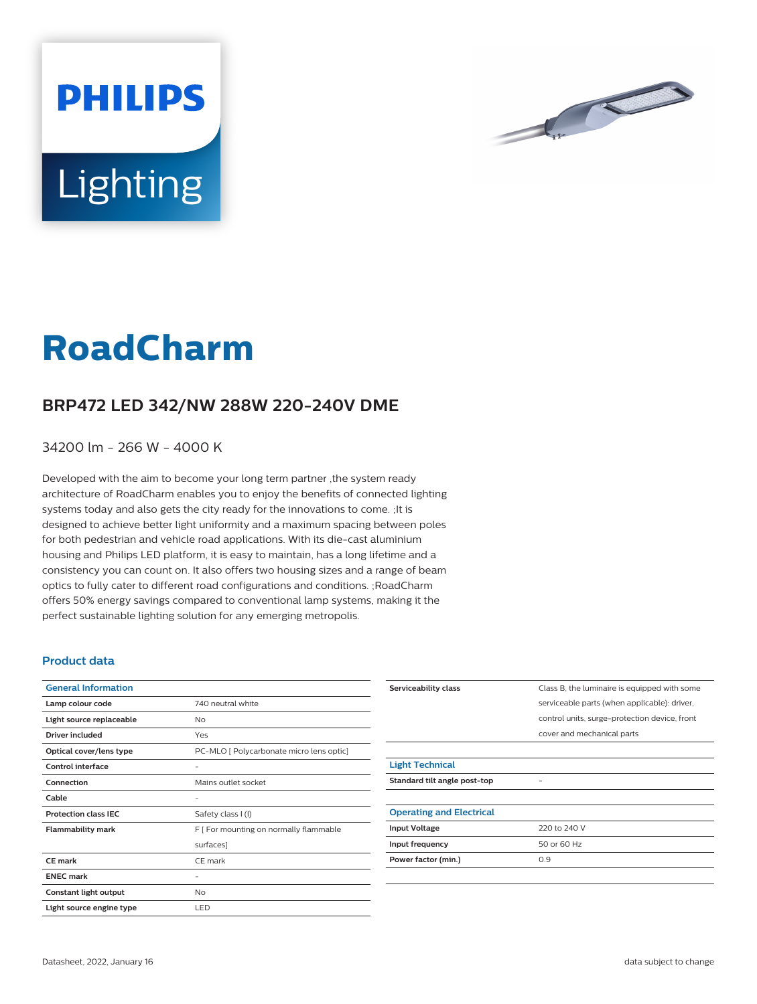



## **RoadCharm**

## **BRP472 LED 342/NW 288W 220-240V DME**

34200 lm - 266 W - 4000 K

Developed with the aim to become your long term partner ,the system ready architecture of RoadCharm enables you to enjoy the benefits of connected lighting systems today and also gets the city ready for the innovations to come. ;It is designed to achieve better light uniformity and a maximum spacing between poles for both pedestrian and vehicle road applications. With its die-cast aluminium housing and Philips LED platform, it is easy to maintain, has a long lifetime and a consistency you can count on. It also offers two housing sizes and a range of beam optics to fully cater to different road configurations and conditions. ;RoadCharm offers 50% energy savings compared to conventional lamp systems, making it the perfect sustainable lighting solution for any emerging metropolis.

## **Product data**

| <b>General Information</b>  |                                          |
|-----------------------------|------------------------------------------|
| Lamp colour code            | 740 neutral white                        |
| Light source replaceable    | No                                       |
| Driver included             | Yes                                      |
| Optical cover/lens type     | PC-MLO [ Polycarbonate micro lens optic] |
| Control interface           |                                          |
| Connection                  | Mains outlet socket                      |
| Cable                       |                                          |
| <b>Protection class IEC</b> | Safety class I (I)                       |
| <b>Flammability mark</b>    | F [ For mounting on normally flammable   |
|                             | surfaces]                                |
| CF mark                     | CE mark                                  |
| <b>ENEC mark</b>            |                                          |
| Constant light output       | No                                       |
| Light source engine type    | LED                                      |

| Serviceability class            | Class B, the luminaire is equipped with some  |
|---------------------------------|-----------------------------------------------|
|                                 | serviceable parts (when applicable): driver,  |
|                                 | control units, surge-protection device, front |
|                                 | cover and mechanical parts                    |
|                                 |                                               |
| <b>Light Technical</b>          |                                               |
| Standard tilt angle post-top    |                                               |
|                                 |                                               |
| <b>Operating and Electrical</b> |                                               |
| <b>Input Voltage</b>            | 220 to 240 V                                  |
| Input frequency                 | 50 or 60 Hz                                   |
| Power factor (min.)             | 0.9                                           |
|                                 |                                               |